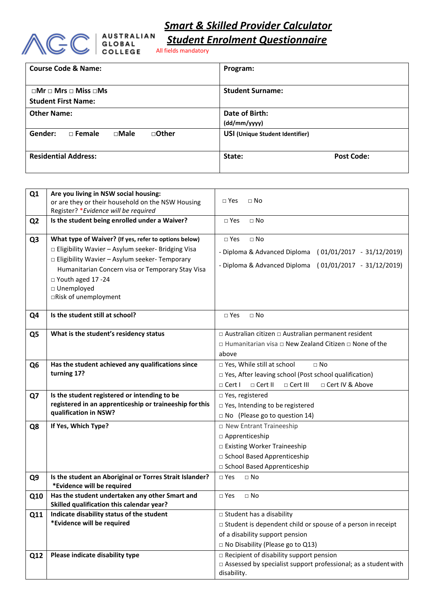



*Student Enrolment Questionnaire*

| <b>Course Code &amp; Name:</b>                                           | Program:                               |
|--------------------------------------------------------------------------|----------------------------------------|
| $\Box$ Mr $\Box$ Mrs $\Box$ Miss $\Box$ Ms<br><b>Student First Name:</b> | <b>Student Surname:</b>                |
| <b>Other Name:</b>                                                       | Date of Birth:<br>(dd/mm/yyyy)         |
| □Other<br>Gender:<br>$\Box$ Male<br>$\Box$ Female                        | <b>USI (Unique Student Identifier)</b> |
| <b>Residential Address:</b>                                              | State:<br><b>Post Code:</b>            |

| Q <sub>1</sub> | Are you living in NSW social housing:<br>or are they or their household on the NSW Housing<br>Register? * Evidence will be required                                                                                                                                                      | $\Box$ Yes<br>$\Box$ No                                                                                                                                                            |
|----------------|------------------------------------------------------------------------------------------------------------------------------------------------------------------------------------------------------------------------------------------------------------------------------------------|------------------------------------------------------------------------------------------------------------------------------------------------------------------------------------|
| Q <sub>2</sub> | Is the student being enrolled under a Waiver?                                                                                                                                                                                                                                            | $\Box$ No<br>$\square$ Yes                                                                                                                                                         |
| Q <sub>3</sub> | What type of Waiver? (If yes, refer to options below)<br>□ Eligibility Wavier - Asylum seeker- Bridging Visa<br>□ Eligibility Wavier - Asylum seeker- Temporary<br>Humanitarian Concern visa or Temporary Stay Visa<br>$\Box$ Youth aged 17 -24<br>□ Unemployed<br>□Risk of unemployment | $\Box$ No<br>$\square$ Yes<br>- Diploma & Advanced Diploma<br>$(01/01/2017 - 31/12/2019)$<br>$(01/01/2017 - 31/12/2019)$<br>- Diploma & Advanced Diploma                           |
| Q <sub>4</sub> | Is the student still at school?                                                                                                                                                                                                                                                          | $\Box$ Yes<br>$\Box$ No                                                                                                                                                            |
| Q <sub>5</sub> | What is the student's residency status                                                                                                                                                                                                                                                   | □ Australian citizen □ Australian permanent resident<br>□ Humanitarian visa □ New Zealand Citizen □ None of the<br>above                                                           |
| Q <sub>6</sub> | Has the student achieved any qualifications since<br>turning 17?                                                                                                                                                                                                                         | □ Yes, While still at school<br>$\square$ No<br>□ Yes, After leaving school (Post school qualification)<br>$\Box$ Cert III<br>□ Cert IV & Above<br>$\Box$ Cert I<br>$\Box$ Cert II |
| Q7             | Is the student registered or intending to be<br>registered in an apprenticeship or traineeship for this<br>qualification in NSW?                                                                                                                                                         | □ Yes, registered<br>□ Yes, Intending to be registered<br>$\Box$ No (Please go to question 14)                                                                                     |
| Q8             | If Yes, Which Type?                                                                                                                                                                                                                                                                      | □ New Entrant Traineeship<br>□ Apprenticeship<br>□ Existing Worker Traineeship<br>□ School Based Apprenticeship<br>□ School Based Apprenticeship                                   |
| Q <sub>9</sub> | Is the student an Aboriginal or Torres Strait Islander?<br>*Evidence will be required                                                                                                                                                                                                    | $\square$ Yes<br>$\Box$ No                                                                                                                                                         |
| Q10            | Has the student undertaken any other Smart and<br>Skilled qualification this calendar year?                                                                                                                                                                                              | $\Box$ No<br>$\Box$ Yes                                                                                                                                                            |
| Q11            | Indicate disability status of the student<br>*Evidence will be required                                                                                                                                                                                                                  | □ Student has a disability<br>$\Box$ Student is dependent child or spouse of a person in receipt<br>of a disability support pension<br>$\Box$ No Disability (Please go to Q13)     |
| Q12            | Please indicate disability type                                                                                                                                                                                                                                                          | □ Recipient of disability support pension<br>□ Assessed by specialist support professional; as a student with<br>disability.                                                       |